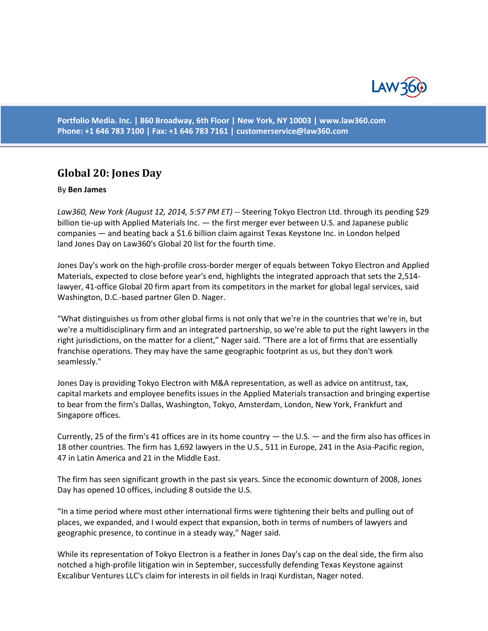

**Portfolio Media. Inc. | 860 Broadway, 6th Floor | New York, NY 10003 | www.law360.com Phone: +1 646 783 7100 | Fax: +1 646 783 7161 | [customerservice@law360.com](mailto:customerservice@law360.com)**

## **Global 20: Jones Day**

## By **Ben James**

Law360, New York (August 12, 2014, 5:57 PM ET) -- Steering Tokyo Electron Ltd. through its pending \$29 billion tie-up with Applied Materials Inc. — the first merger ever between U.S. and Japanese public companies — and beating back a \$1.6 billion claim against Texas Keystone Inc. in London helped land Jones Day on Law360's Global 20 list for the fourth time.

Jones Day's work on the high-profile cross-border merger of equals between Tokyo Electron and Applied Materials, expected to close before year's end, highlights the integrated approach that sets the 2,514 lawyer, 41-office Global 20 firm apart from its competitors in the market for global legal services, said Washington, D.C.-based partner Glen D. Nager.

"What distinguishes us from other global firms is not only that we're in the countries that we're in, but we're a multidisciplinary firm and an integrated partnership, so we're able to put the right lawyers in the right jurisdictions, on the matter for a client," Nager said. "There are a lot of firms that are essentially franchise operations. They may have the same geographic footprint as us, but they don't work seamlessly."

Jones Day is providing Tokyo Electron with M&A representation, as well as advice on antitrust, tax, capital markets and employee benefits issues in the Applied Materials transaction and bringing expertise to bear from the firm's Dallas, Washington, Tokyo, Amsterdam, London, New York, Frankfurt and Singapore offices.

Currently, 25 of the firm's 41 offices are in its home country — the U.S. — and the firm also has offices in 18 other countries. The firm has 1,692 lawyers in the U.S., 511 in Europe, 241 in the Asia-Pacific region, 47 in Latin America and 21 in the Middle East.

The firm has seen significant growth in the past six years. Since the economic downturn of 2008, Jones Day has opened 10 offices, including 8 outside the U.S.

"In a time period where most other international firms were tightening their belts and pulling out of places, we expanded, and I would expect that expansion, both in terms of numbers of lawyers and geographic presence, to continue in a steady way," Nager said.

While its representation of Tokyo Electron is a feather in Jones Day's cap on the deal side, the firm also notched a high-profile litigation win in September, successfully defending Texas Keystone against Excalibur Ventures LLC's claim for interests in oil fields in Iraqi Kurdistan, Nager noted.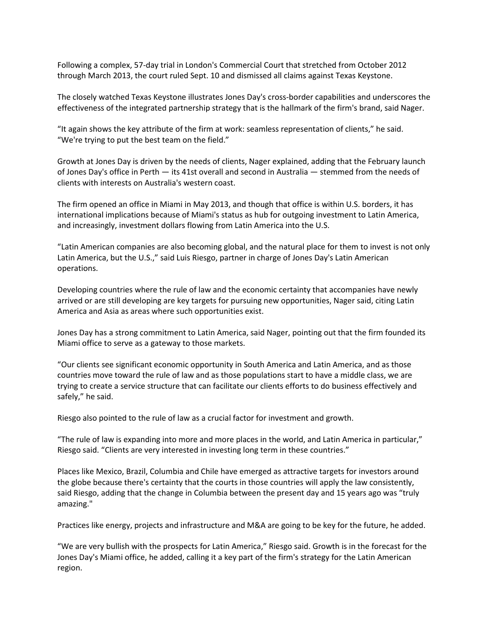Following a complex, 57-day trial in London's Commercial Court that stretched from October 2012 through March 2013, the court ruled Sept. 10 and dismissed all claims against Texas Keystone.

The closely watched Texas Keystone illustrates Jones Day's cross-border capabilities and underscores the effectiveness of the integrated partnership strategy that is the hallmark of the firm's brand, said Nager.

"It again shows the key attribute of the firm at work: seamless representation of clients," he said. "We're trying to put the best team on the field."

Growth at Jones Day is driven by the needs of clients, Nager explained, adding that the February launch of Jones Day's office in Perth — its 41st overall and second in Australia — stemmed from the needs of clients with interests on Australia's western coast.

The firm opened an office in Miami in May 2013, and though that office is within U.S. borders, it has international implications because of Miami's status as hub for outgoing investment to Latin America, and increasingly, investment dollars flowing from Latin America into the U.S.

"Latin American companies are also becoming global, and the natural place for them to invest is not only Latin America, but the U.S.," said Luis Riesgo, partner in charge of Jones Day's Latin American operations.

Developing countries where the rule of law and the economic certainty that accompanies have newly arrived or are still developing are key targets for pursuing new opportunities, Nager said, citing Latin America and Asia as areas where such opportunities exist.

Jones Day has a strong commitment to Latin America, said Nager, pointing out that the firm founded its Miami office to serve as a gateway to those markets.

"Our clients see significant economic opportunity in South America and Latin America, and as those countries move toward the rule of law and as those populations start to have a middle class, we are trying to create a service structure that can facilitate our clients efforts to do business effectively and safely," he said.

Riesgo also pointed to the rule of law as a crucial factor for investment and growth.

"The rule of law is expanding into more and more places in the world, and Latin America in particular," Riesgo said. "Clients are very interested in investing long term in these countries."

Places like Mexico, Brazil, Columbia and Chile have emerged as attractive targets for investors around the globe because there's certainty that the courts in those countries will apply the law consistently, said Riesgo, adding that the change in Columbia between the present day and 15 years ago was "truly amazing."

Practices like energy, projects and infrastructure and M&A are going to be key for the future, he added.

"We are very bullish with the prospects for Latin America," Riesgo said. Growth is in the forecast for the Jones Day's Miami office, he added, calling it a key part of the firm's strategy for the Latin American region.